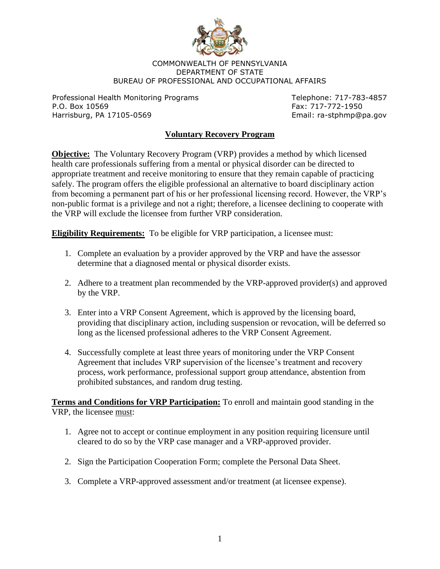

## COMMONWEALTH OF PENNSYLVANIA DEPARTMENT OF STATE BUREAU OF PROFESSIONAL AND OCCUPATIONAL AFFAIRS

Professional Health Monitoring Programs Telephone: 717-783-4857 P.O. Box 10569 Fax: 717-772-1950 Harrisburg, PA 17105-0569 extendios and the extendion of the Email: ra-stphmp@pa.gov

## **Voluntary Recovery Program**

**Objective:** The Voluntary Recovery Program (VRP) provides a method by which licensed health care professionals suffering from a mental or physical disorder can be directed to appropriate treatment and receive monitoring to ensure that they remain capable of practicing safely. The program offers the eligible professional an alternative to board disciplinary action from becoming a permanent part of his or her professional licensing record. However, the VRP's non-public format is a privilege and not a right; therefore, a licensee declining to cooperate with the VRP will exclude the licensee from further VRP consideration.

**Eligibility Requirements:** To be eligible for VRP participation, a licensee must:

- 1. Complete an evaluation by a provider approved by the VRP and have the assessor determine that a diagnosed mental or physical disorder exists.
- 2. Adhere to a treatment plan recommended by the VRP-approved provider(s) and approved by the VRP.
- 3. Enter into a VRP Consent Agreement, which is approved by the licensing board, providing that disciplinary action, including suspension or revocation, will be deferred so long as the licensed professional adheres to the VRP Consent Agreement.
- 4. Successfully complete at least three years of monitoring under the VRP Consent Agreement that includes VRP supervision of the licensee's treatment and recovery process, work performance, professional support group attendance, abstention from prohibited substances, and random drug testing.

**Terms and Conditions for VRP Participation:** To enroll and maintain good standing in the VRP, the licensee must:

- 1. Agree not to accept or continue employment in any position requiring licensure until cleared to do so by the VRP case manager and a VRP-approved provider.
- 2. Sign the Participation Cooperation Form; complete the Personal Data Sheet.
- 3. Complete a VRP-approved assessment and/or treatment (at licensee expense).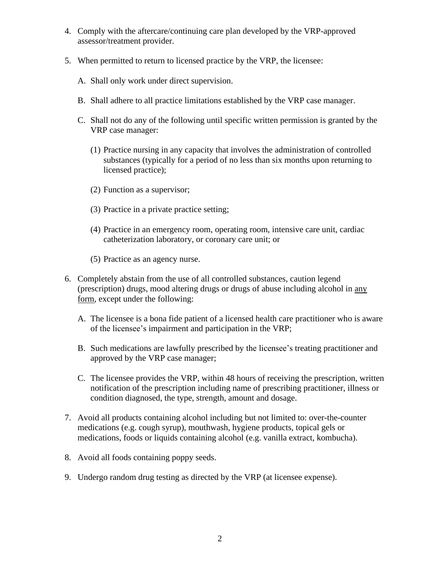- 4. Comply with the aftercare/continuing care plan developed by the VRP-approved assessor/treatment provider.
- 5. When permitted to return to licensed practice by the VRP, the licensee:
	- A. Shall only work under direct supervision.
	- B. Shall adhere to all practice limitations established by the VRP case manager.
	- C. Shall not do any of the following until specific written permission is granted by the VRP case manager:
		- (1) Practice nursing in any capacity that involves the administration of controlled substances (typically for a period of no less than six months upon returning to licensed practice);
		- (2) Function as a supervisor;
		- (3) Practice in a private practice setting;
		- (4) Practice in an emergency room, operating room, intensive care unit, cardiac catheterization laboratory, or coronary care unit; or
		- (5) Practice as an agency nurse.
- 6. Completely abstain from the use of all controlled substances, caution legend (prescription) drugs, mood altering drugs or drugs of abuse including alcohol in any form, except under the following:
	- A. The licensee is a bona fide patient of a licensed health care practitioner who is aware of the licensee's impairment and participation in the VRP;
	- B. Such medications are lawfully prescribed by the licensee's treating practitioner and approved by the VRP case manager;
	- C. The licensee provides the VRP, within 48 hours of receiving the prescription, written notification of the prescription including name of prescribing practitioner, illness or condition diagnosed, the type, strength, amount and dosage.
- 7. Avoid all products containing alcohol including but not limited to: over-the-counter medications (e.g. cough syrup), mouthwash, hygiene products, topical gels or medications, foods or liquids containing alcohol (e.g. vanilla extract, kombucha).
- 8. Avoid all foods containing poppy seeds.
- 9. Undergo random drug testing as directed by the VRP (at licensee expense).